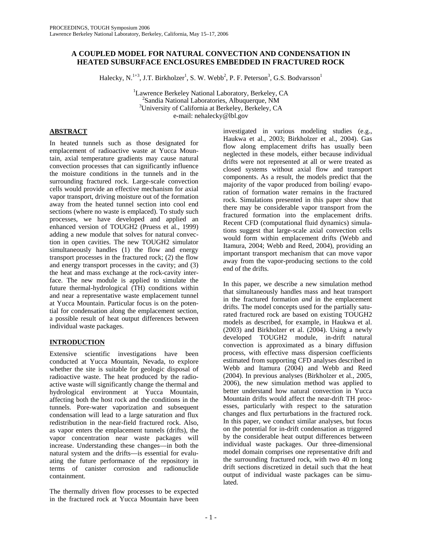# **A COUPLED MODEL FOR NATURAL CONVECTION AND CONDENSATION IN HEATED SUBSURFACE ENCLOSURES EMBEDDED IN FRACTURED ROCK**

Halecky, N.<sup>1+3</sup>, J.T. Birkholzer<sup>1</sup>, S. W. Webb<sup>2</sup>, P. F. Peterson<sup>3</sup>, G.S. Bodvarsson<sup>1</sup>

<sup>1</sup>Lawrence Berkeley National Laboratory, Berkeley, CA<br><sup>2</sup>Sandia National Laboratories, Albuquerque, NM <sup>2</sup>Sandia National Laboratories, Albuquerque, NM <sup>3</sup>University of California at Berkeley, Berkeley, CA e-mail: nehalecky@lbl.gov

# **ABSTRACT**

In heated tunnels such as those designated for emplacement of radioactive waste at Yucca Mountain, axial temperature gradients may cause natural convection processes that can significantly influence the moisture conditions in the tunnels and in the surrounding fractured rock. Large-scale convection cells would provide an effective mechanism for axial vapor transport, driving moisture out of the formation away from the heated tunnel section into cool end sections (where no waste is emplaced). To study such processes, we have developed and applied an enhanced version of TOUGH2 (Pruess et al., 1999) adding a new module that solves for natural convection in open cavities. The new TOUGH2 simulator simultaneously handles (1) the flow and energy transport processes in the fractured rock; (2) the flow and energy transport processes in the cavity; and (3) the heat and mass exchange at the rock-cavity interface. The new module is applied to simulate the future thermal-hydrological (TH) conditions within and near a representative waste emplacement tunnel at Yucca Mountain. Particular focus is on the potential for condensation along the emplacement section, a possible result of heat output differences between individual waste packages.

# **INTRODUCTION**

Extensive scientific investigations have been conducted at Yucca Mountain, Nevada, to explore whether the site is suitable for geologic disposal of radioactive waste. The heat produced by the radioactive waste will significantly change the thermal and hydrological environment at Yucca Mountain, affecting both the host rock and the conditions in the tunnels. Pore-water vaporization and subsequent condensation will lead to a large saturation and flux redistribution in the near-field fractured rock. Also, as vapor enters the emplacement tunnels (drifts), the vapor concentration near waste packages will increase. Understanding these changes—in both the natural system and the drifts—is essential for evaluating the future performance of the repository in terms of canister corrosion and radionuclide containment.

The thermally driven flow processes to be expected in the fractured rock at Yucca Mountain have been

investigated in various modeling studies (e.g., Haukwa et al., 2003; Birkholzer et al., 2004). Gas flow along emplacement drifts has usually been neglected in these models, either because individual drifts were not represented at all or were treated as closed systems without axial flow and transport components. As a result, the models predict that the majority of the vapor produced from boiling/ evaporation of formation water remains in the fractured rock. Simulations presented in this paper show that there may be considerable vapor transport from the fractured formation into the emplacement drifts. Recent CFD (computational fluid dynamics) simulations suggest that large-scale axial convection cells would form within emplacement drifts (Webb and Itamura, 2004; Webb and Reed, 2004), providing an important transport mechanism that can move vapor away from the vapor-producing sections to the cold end of the drifts.

In this paper, we describe a new simulation method that simultaneously handles mass and heat transport in the fractured formation *and* in the emplacement drifts. The model concepts used for the partially saturated fractured rock are based on existing TOUGH2 models as described, for example, in Haukwa et al. (2003) and Birkholzer et al. (2004). Using a newly developed TOUGH2 module, in-drift natural convection is approximated as a binary diffusion process, with effective mass dispersion coefficients estimated from supporting CFD analyses described in Webb and Itamura (2004) and Webb and Reed (2004). In previous analyses (Birkholzer et al., 2005, 2006), the new simulation method was applied to better understand how natural convection in Yucca Mountain drifts would affect the near-drift TH processes, particularly with respect to the saturation changes and flux perturbations in the fractured rock. In this paper, we conduct similar analyses, but focus on the potential for in-drift condensation as triggered by the considerable heat output differences between individual waste packages. Our three-dimensional model domain comprises one representative drift and the surrounding fractured rock, with two 40 m long drift sections discretized in detail such that the heat output of individual waste packages can be simulated.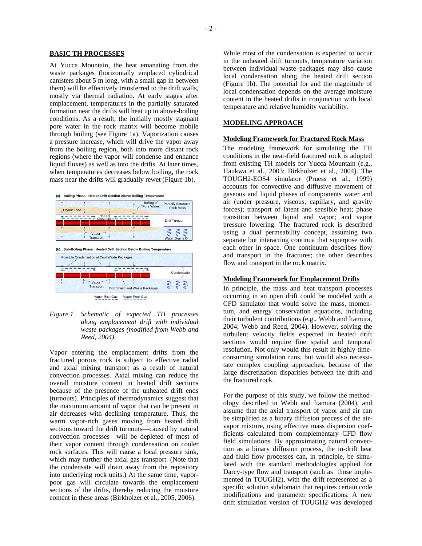### **BASIC TH PROCESSES**

At Yucca Mountain, the heat emanating from the waste packages (horizontally emplaced cylindrical canisters about 5 m long, with a small gap in between them) will be effectively transferred to the drift walls, mostly via thermal radiation. At early stages after emplacement, temperatures in the partially saturated formation near the drifts will heat up to above-boiling conditions. As a result, the initially mostly stagnant pore water in the rock matrix will become mobile through boiling (see Figure 1a). Vaporization causes a pressure increase, which will drive the vapor away from the boiling region, both into more distant rock regions (where the vapor will condense and enhance liquid fluxes) as well as into the drifts. At later times, when temperatures decreases below boiling, the rock mass near the drifts will gradually rewet (Figure 1b).





*Figure 1. Schematic of expected TH processes along emplacement drift with individual waste packages (modified from Webb and Reed, 2004).* 

Vapor entering the emplacement drifts from the fractured porous rock is subject to effective radial and axial mixing transport as a result of natural convection processes. Axial mixing can reduce the overall moisture content in heated drift sections because of the presence of the unheated drift ends (turnouts). Principles of thermodynamics suggest that the maximum amount of vapor that can be present in air decreases with declining temperature. Thus, the warm vapor-rich gases moving from heated drift sections toward the drift turnouts—caused by natural convection processes—will be depleted of most of their vapor content through condensation on cooler rock surfaces. This will cause a local pressure sink, which may further the axial gas transport. (Note that the condensate will drain away from the repository into underlying rock units.) At the same time, vaporpoor gas will circulate towards the emplacement sections of the drifts, thereby reducing the moisture content in these areas (Birkholzer et al., 2005, 2006).

While most of the condensation is expected to occur in the unheated drift turnouts, temperature variation between individual waste packages may also cause local condensation along the heated drift section (Figure 1b). The potential for and the magnitude of local condensation depends on the average moisture content in the heated drifts in conjunction with local temperature and relative humidity variability.

# **MODELING APPROACH**

#### **Modeling Framework for Fractured Rock Mass**

The modeling framework for simulating the TH conditions in the near-field fractured rock is adopted from existing TH models for Yucca Mountain (e.g., Haukwa et al., 2003; Birkholzer et al., 2004). The TOUGH2-EOS4 simulator (Pruess et al., 1999) accounts for convective and diffusive movement of gaseous and liquid phases of components water and air (under pressure, viscous, capillary, and gravity forces); transport of latent and sensible heat; phase transition between liquid and vapor; and vapor pressure lowering. The fractured rock is described using a dual permeability concept, assuming two separate but interacting continua that superpose with each other in space. One continuum describes flow and transport in the fractures; the other describes flow and transport in the rock matrix.

#### **Modeling Framework for Emplacement Drifts**

In principle, the mass and heat transport processes occurring in an open drift could be modeled with a CFD simulator that would solve the mass, momentum, and energy conservation equations, including their turbulent contributions (e.g., Webb and Itamura, 2004; Webb and Reed, 2004). However, solving the turbulent velocity fields expected in heated drift sections would require fine spatial and temporal resolution. Not only would this result in highly timeconsuming simulation runs, but would also necessitate complex coupling approaches, because of the large discretization disparities between the drift and the fractured rock.

For the purpose of this study, we follow the methodology described in Webb and Itamura (2004), and assume that the axial transport of vapor and air can be simplified as a binary diffusion process of the airvapor mixture, using effective mass dispersion coefficients calculated from complementary CFD flow field simulations. By approximating natural convection as a binary diffusion process, the in-drift heat and fluid flow processes can, in principle, be simulated with the standard methodologies applied for Darcy-type flow and transport (such as those implemented in TOUGH2), with the drift represented as a specific solution subdomain that requires certain code modifications and parameter specifications. A new drift simulation version of TOUGH2 was developed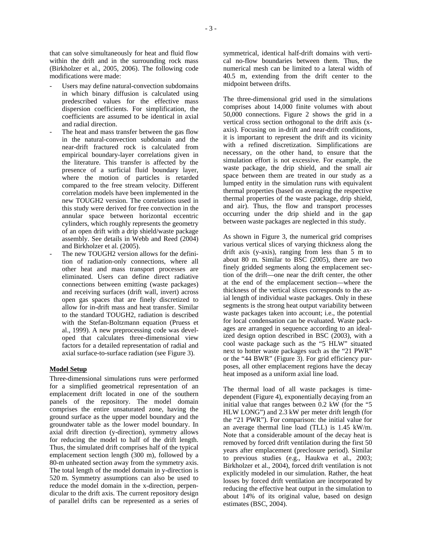that can solve simultaneously for heat and fluid flow within the drift and in the surrounding rock mass (Birkholzer et al., 2005, 2006). The following code modifications were made:

- Users may define natural-convection subdomains in which binary diffusion is calculated using predescribed values for the effective mass dispersion coefficients. For simplification, the coefficients are assumed to be identical in axial and radial direction.
- The heat and mass transfer between the gas flow in the natural-convection subdomain and the near-drift fractured rock is calculated from empirical boundary-layer correlations given in the literature. This transfer is affected by the presence of a surficial fluid boundary layer, where the motion of particles is retarded compared to the free stream velocity. Different correlation models have been implemented in the new TOUGH2 version. The correlations used in this study were derived for free convection in the annular space between horizontal eccentric cylinders, which roughly represents the geometry of an open drift with a drip shield/waste package assembly. See details in Webb and Reed (2004) and Birkholzer et al. (2005).
- The new TOUGH2 version allows for the definition of radiation-only connections, where all other heat and mass transport processes are eliminated. Users can define direct radiative connections between emitting (waste packages) and receiving surfaces (drift wall, invert) across open gas spaces that are finely discretized to allow for in-drift mass and heat transfer. Similar to the standard TOUGH2, radiation is described with the Stefan-Boltzmann equation (Pruess et al., 1999). A new preprocessing code was developed that calculates three-dimensional view factors for a detailed representation of radial and axial surface-to-surface radiation (see Figure 3).

### **Model Setup**

Three-dimensional simulations runs were performed for a simplified geometrical representation of an emplacement drift located in one of the southern panels of the repository. The model domain comprises the entire unsaturated zone, having the ground surface as the upper model boundary and the groundwater table as the lower model boundary. In axial drift direction (y-direction), symmetry allows for reducing the model to half of the drift length. Thus, the simulated drift comprises half of the typical emplacement section length (300 m), followed by a 80-m unheated section away from the symmetry axis. The total length of the model domain in y-direction is 520 m. Symmetry assumptions can also be used to reduce the model domain in the x-direction, perpendicular to the drift axis. The current repository design of parallel drifts can be represented as a series of

symmetrical, identical half-drift domains with vertical no-flow boundaries between them. Thus, the numerical mesh can be limited to a lateral width of 40.5 m, extending from the drift center to the midpoint between drifts.

The three-dimensional grid used in the simulations comprises about 14,000 finite volumes with about 50,000 connections. Figure 2 shows the grid in a vertical cross section orthogonal to the drift axis (xaxis). Focusing on in-drift and near-drift conditions, it is important to represent the drift and its vicinity with a refined discretization. Simplifications are necessary, on the other hand, to ensure that the simulation effort is not excessive. For example, the waste package, the drip shield, and the small air space between them are treated in our study as a lumped entity in the simulation runs with equivalent thermal properties (based on averaging the respective thermal properties of the waste package, drip shield, and air). Thus, the flow and transport processes occurring under the drip shield and in the gap between waste packages are neglected in this study.

As shown in Figure 3, the numerical grid comprises various vertical slices of varying thickness along the drift axis (y-axis), ranging from less than 5 m to about 80 m. Similar to BSC (2005), there are two finely gridded segments along the emplacement section of the drift—one near the drift center, the other at the end of the emplacement section—where the thickness of the vertical slices corresponds to the axial length of individual waste packages. Only in these segments is the strong heat output variability between waste packages taken into account; i.e., the potential for local condensation can be evaluated. Waste packages are arranged in sequence according to an idealized design option described in BSC (2003), with a cool waste package such as the "5 HLW" situated next to hotter waste packages such as the "21 PWR" or the "44 BWR" (Figure 3). For grid efficiency purposes, all other emplacement regions have the decay heat imposed as a uniform axial line load.

The thermal load of all waste packages is timedependent (Figure 4), exponentially decaying from an initial value that ranges between 0.2 kW (for the "5 HLW LONG") and 2.3 kW per meter drift length (for the "21 PWR"). For comparison: the initial value for an average thermal line load (TLL) is 1.45 kW/m. Note that a considerable amount of the decay heat is removed by forced drift ventilation during the first 50 years after emplacement (preclosure period). Similar to previous studies (e.g., Haukwa et al., 2003; Birkholzer et al., 2004), forced drift ventilation is not explicitly modeled in our simulation. Rather, the heat losses by forced drift ventilation are incorporated by reducing the effective heat output in the simulation to about 14% of its original value, based on design estimates (BSC, 2004).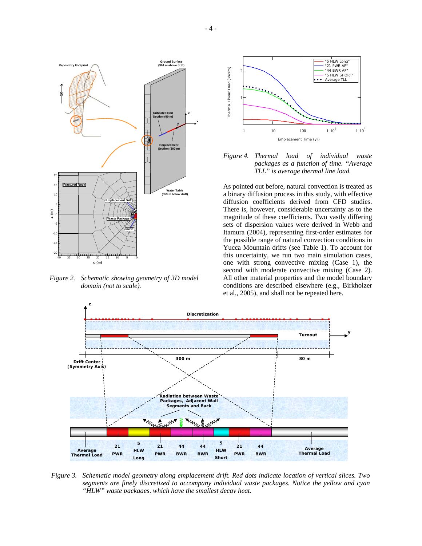

*Figure 2. Schematic showing geometry of 3D model domain (not to scale).* 





As pointed out before, natural convection is treated as a binary diffusion process in this study, with effective diffusion coefficients derived from CFD studies. There is, however, considerable uncertainty as to the magnitude of these coefficients. Two vastly differing sets of dispersion values were derived in Webb and Itamura (2004), representing first-order estimates for the possible range of natural convection conditions in Yucca Mountain drifts (see Table 1). To account for this uncertainty, we run two main simulation cases, one with strong convective mixing (Case 1), the second with moderate convective mixing (Case 2). All other material properties and the model boundary conditions are described elsewhere (e.g., Birkholzer et al., 2005), and shall not be repeated here.



*Figure 3. Schematic model geometry along emplacement drift. Red dots indicate location of vertical slices. Two segments are finely discretized to accompany individual waste packages. Notice the yellow and cyan "HLW" waste packages, which have the smallest decay heat.*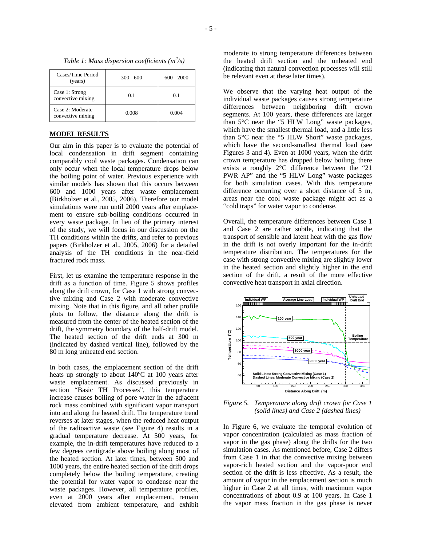| Cases/Time Period<br>(years)          | $300 - 600$ | $600 - 2000$ |
|---------------------------------------|-------------|--------------|
| Case 1: Strong<br>convective mixing   | 0.1         | 0.1          |
| Case 2: Moderate<br>convective mixing | 0.008       | 0.004        |

*Table 1: Mass dispersion coefficients (m<sup>2</sup> /s)* 

#### **MODEL RESULTS**

Our aim in this paper is to evaluate the potential of local condensation in drift segment containing comparably cool waste packages. Condensation can only occur when the local temperature drops below the boiling point of water. Previous experience with similar models has shown that this occurs between 600 and 1000 years after waste emplacement (Birkholzer et al., 2005, 2006). Therefore our model simulations were run until 2000 years after emplacement to ensure sub-boiling conditions occurred in every waste package. In lieu of the primary interest of the study, we will focus in our discussion on the TH conditions within the drifts, and refer to previous papers (Birkholzer et al., 2005, 2006) for a detailed analysis of the TH conditions in the near-field fractured rock mass.

First, let us examine the temperature response in the drift as a function of time. Figure 5 shows profiles along the drift crown, for Case 1 with strong convective mixing and Case 2 with moderate convective mixing. Note that in this figure, and all other profile plots to follow, the distance along the drift is measured from the center of the heated section of the drift, the symmetry boundary of the half-drift model. The heated section of the drift ends at 300 m (indicated by dashed vertical line), followed by the 80 m long unheated end section.

In both cases, the emplacement section of the drift heats up strongly to about  $140^{\circ}$ C at 100 years after waste emplacement. As discussed previously in section "Basic TH Processes", this temperature increase causes boiling of pore water in the adjacent rock mass combined with significant vapor transport into and along the heated drift. The temperature trend reverses at later stages, when the reduced heat output of the radioactive waste (see Figure 4) results in a gradual temperature decrease. At 500 years, for example, the in-drift temperatures have reduced to a few degrees centigrade above boiling along most of the heated section. At later times, between 500 and 1000 years, the entire heated section of the drift drops completely below the boiling temperature, creating the potential for water vapor to condense near the waste packages. However, all temperature profiles, even at 2000 years after emplacement, remain elevated from ambient temperature, and exhibit

moderate to strong temperature differences between the heated drift section and the unheated end (indicating that natural convection processes will still be relevant even at these later times).

We observe that the varying heat output of the individual waste packages causes strong temperature differences between neighboring drift crown segments. At 100 years, these differences are larger than 5°C near the "5 HLW Long" waste packages, which have the smallest thermal load, and a little less than 5°C near the "5 HLW Short" waste packages, which have the second-smallest thermal load (see Figures 3 and 4). Even at 1000 years, when the drift crown temperature has dropped below boiling, there exists a roughly 2°C difference between the "21 PWR AP" and the "5 HLW Long" waste packages for both simulation cases. With this temperature difference occurring over a short distance of 5 m, areas near the cool waste package might act as a "cold traps" for water vapor to condense.

Overall, the temperature differences between Case 1 and Case 2 are rather subtle, indicating that the transport of sensible and latent heat with the gas flow in the drift is not overly important for the in-drift temperature distribution. The temperatures for the case with strong convective mixing are slightly lower in the heated section and slightly higher in the end section of the drift, a result of the more effective convective heat transport in axial direction.



*Figure 5. Temperature along drift crown for Case 1 (solid lines) and Case 2 (dashed lines)*

In Figure 6, we evaluate the temporal evolution of vapor concentration (calculated as mass fraction of vapor in the gas phase) along the drifts for the two simulation cases. As mentioned before, Case 2 differs from Case 1 in that the convective mixing between vapor-rich heated section and the vapor-poor end section of the drift is less effective. As a result, the amount of vapor in the emplacement section is much higher in Case 2 at all times, with maximum vapor concentrations of about 0.9 at 100 years. In Case 1 the vapor mass fraction in the gas phase is never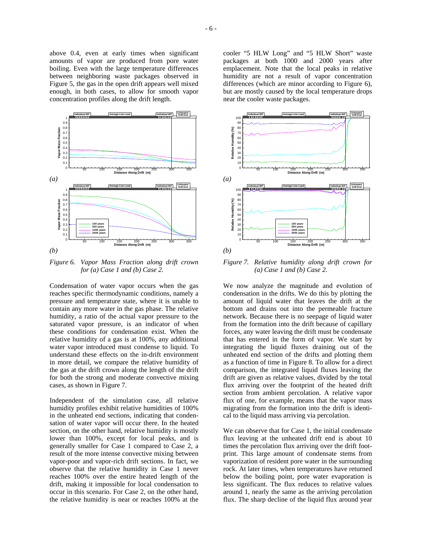between neighboring waste packages observed in Figure 5, the gas in the open drift appears well mixed enough, in both cases, to allow for smooth vapor concentration profiles along the drift length.



*Figure 6. Vapor Mass Fraction along drift crown for (a) Case 1 and (b) Case 2.*

Condensation of water vapor occurs when the gas reaches specific thermodynamic conditions, namely a pressure and temperature state, where it is unable to contain any more water in the gas phase. The relative humidity, a ratio of the actual vapor pressure to the saturated vapor pressure, is an indicator of when these conditions for condensation exist. When the relative humidity of a gas is at 100%, any additional water vapor introduced must condense to liquid. To understand these effects on the in-drift environment in more detail, we compare the relative humidity of the gas at the drift crown along the length of the drift for both the strong and moderate convective mixing cases, as shown in Figure 7.

Independent of the simulation case, all relative humidity profiles exhibit relative humidities of 100% in the unheated end sections, indicating that condensation of water vapor will occur there. In the heated section, on the other hand, relative humidity is mostly lower than 100%, except for local peaks, and is generally smaller for Case 1 compared to Case 2, a result of the more intense convective mixing between vapor-poor and vapor-rich drift sections. In fact, we observe that the relative humidity in Case 1 never reaches 100% over the entire heated length of the drift, making it impossible for local condensation to occur in this scenario. For Case 2, on the other hand, the relative humidity is near or reaches 100% at the

cooler "5 HLW Long" and "5 HLW Short" waste packages at both 1000 and 2000 years after emplacement. Note that the local peaks in relative humidity are not a result of vapor concentration differences (which are minor according to Figure 6), but are mostly caused by the local temperature drops near the cooler waste packages.



*Figure 7. Relative humidity along drift crown for (a) Case 1 and (b) Case 2.* 

We now analyze the magnitude and evolution of condensation in the drifts. We do this by plotting the amount of liquid water that leaves the drift at the bottom and drains out into the permeable fracture network. Because there is no seepage of liquid water from the formation into the drift because of capillary forces, any water leaving the drift must be condensate that has entered in the form of vapor. We start by integrating the liquid fluxes draining out of the unheated end section of the drifts and plotting them as a function of time in Figure 8. To allow for a direct comparison, the integrated liquid fluxes leaving the drift are given as relative values, divided by the total flux arriving over the footprint of the heated drift section from ambient percolation. A relative vapor flux of one, for example, means that the vapor mass migrating from the formation into the drift is identical to the liquid mass arriving via percolation.

We can observe that for Case 1, the initial condensate flux leaving at the unheated drift end is about 10 times the percolation flux arriving over the drift footprint. This large amount of condensate stems from vaporization of resident pore water in the surrounding rock. At later times, when temperatures have returned below the boiling point, pore water evaporation is less significant. The flux reduces to relative values around 1, nearly the same as the arriving percolation flux. The sharp decline of the liquid flux around year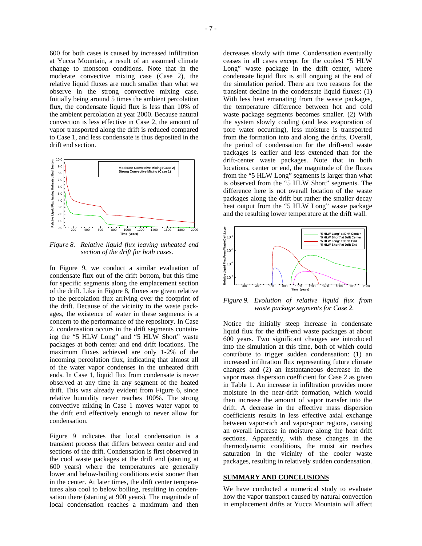600 for both cases is caused by increased infiltration at Yucca Mountain, a result of an assumed climate change to monsoon conditions. Note that in the moderate convective mixing case (Case 2), the relative liquid fluxes are much smaller than what we observe in the strong convective mixing case. Initially being around 5 times the ambient percolation flux, the condensate liquid flux is less than 10% of the ambient percolation at year 2000. Because natural convection is less effective in Case 2, the amount of vapor transported along the drift is reduced compared to Case 1, and less condensate is thus deposited in the drift end section.



*Figure 8. Relative liquid flux leaving unheated end section of the drift for both cases.* 

In Figure 9, we conduct a similar evaluation of condensate flux out of the drift bottom, but this time for specific segments along the emplacement section of the drift. Like in Figure 8, fluxes are given relative to the percolation flux arriving over the footprint of the drift. Because of the vicinity to the waste packages, the existence of water in these segments is a concern to the performance of the repository. In Case 2, condensation occurs in the drift segments containing the "5 HLW Long" and "5 HLW Short" waste packages at both center and end drift locations. The maximum fluxes achieved are only 1-2% of the incoming percolation flux, indicating that almost all of the water vapor condenses in the unheated drift ends. In Case 1, liquid flux from condensate is never observed at any time in any segment of the heated drift. This was already evident from Figure 6, since relative humidity never reaches 100%. The strong convective mixing in Case 1 moves water vapor to the drift end effectively enough to never allow for condensation.

Figure 9 indicates that local condensation is a transient process that differs between center and end sections of the drift. Condensation is first observed in the cool waste packages at the drift end (starting at 600 years) where the temperatures are generally lower and below-boiling conditions exist sooner than in the center. At later times, the drift center temperatures also cool to below boiling, resulting in condensation there (starting at 900 years). The magnitude of local condensation reaches a maximum and then

decreases slowly with time. Condensation eventually ceases in all cases except for the coolest "5 HLW Long" waste package in the drift center, where condensate liquid flux is still ongoing at the end of the simulation period. There are two reasons for the transient decline in the condensate liquid fluxes: (1) With less heat emanating from the waste packages, the temperature difference between hot and cold waste package segments becomes smaller. (2) With the system slowly cooling (and less evaporation of pore water occurring), less moisture is transported from the formation into and along the drifts. Overall, the period of condensation for the drift-end waste packages is earlier and less extended than for the drift-center waste packages. Note that in both locations, center or end, the magnitude of the fluxes from the "5 HLW Long" segments is larger than what is observed from the "5 HLW Short" segments. The difference here is not overall location of the waste packages along the drift but rather the smaller decay heat output from the "5 HLW Long" waste package and the resulting lower temperature at the drift wall.



*Figure 9. Evolution of relative liquid flux from waste package segments for Case 2.* 

Notice the initially steep increase in condensate liquid flux for the drift-end waste packages at about 600 years. Two significant changes are introduced into the simulation at this time, both of which could contribute to trigger sudden condensation: (1) an increased infiltration flux representing future climate changes and (2) an instantaneous decrease in the vapor mass dispersion coefficient for Case 2 as given in Table 1. An increase in infiltration provides more moisture in the near-drift formation, which would then increase the amount of vapor transfer into the drift. A decrease in the effective mass dispersion coefficients results in less effective axial exchange between vapor-rich and vapor-poor regions, causing an overall increase in moisture along the heat drift sections. Apparently, with these changes in the thermodynamic conditions, the moist air reaches saturation in the vicinity of the cooler waste packages, resulting in relatively sudden condensation.

## **SUMMARY AND CONCLUSIONS**

We have conducted a numerical study to evaluate how the vapor transport caused by natural convection in emplacement drifts at Yucca Mountain will affect